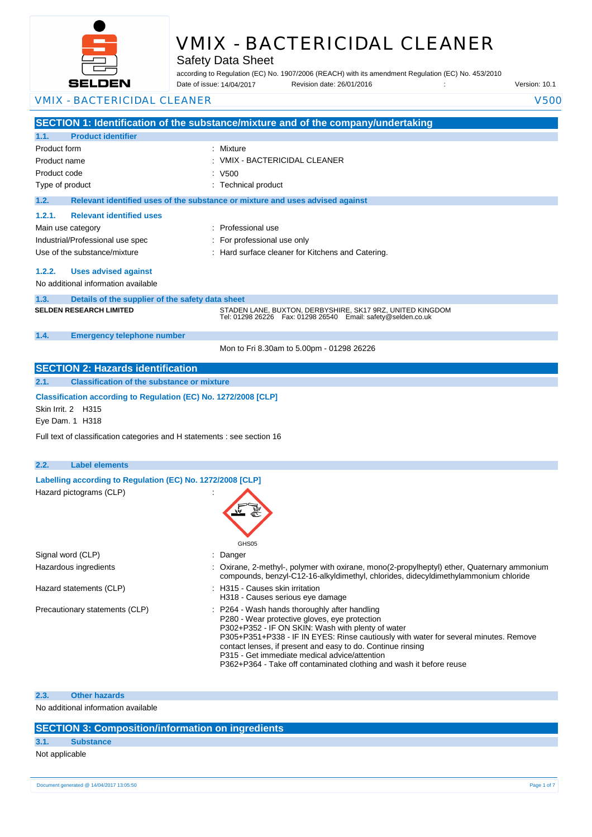

# VMIX - BACTERICIDAL CLEANER

Safety Data Sheet

according to Regulation (EC) No. 1907/2006 (REACH) with its amendment Regulation (EC) No. 453/2010 Date of issue: Revision date: 26/01/2016 : Version: 10.1 Date of issue: 14/04/2017

| <b>VMIX - BACTERICIDAL CLEANER</b>                                                                       |                                                                                                                                                                                                                                                                                                                                                                                                                                    | <b>V500</b> |
|----------------------------------------------------------------------------------------------------------|------------------------------------------------------------------------------------------------------------------------------------------------------------------------------------------------------------------------------------------------------------------------------------------------------------------------------------------------------------------------------------------------------------------------------------|-------------|
|                                                                                                          | SECTION 1: Identification of the substance/mixture and of the company/undertaking                                                                                                                                                                                                                                                                                                                                                  |             |
| <b>Product identifier</b><br>1.1.                                                                        |                                                                                                                                                                                                                                                                                                                                                                                                                                    |             |
| Product form                                                                                             | Mixture                                                                                                                                                                                                                                                                                                                                                                                                                            |             |
| Product name                                                                                             | VMIX - BACTERICIDAL CLEANER                                                                                                                                                                                                                                                                                                                                                                                                        |             |
| Product code                                                                                             | : V500                                                                                                                                                                                                                                                                                                                                                                                                                             |             |
| Type of product                                                                                          | : Technical product                                                                                                                                                                                                                                                                                                                                                                                                                |             |
| 1.2.                                                                                                     | Relevant identified uses of the substance or mixture and uses advised against                                                                                                                                                                                                                                                                                                                                                      |             |
| <b>Relevant identified uses</b><br>1.2.1.                                                                |                                                                                                                                                                                                                                                                                                                                                                                                                                    |             |
| Main use category                                                                                        | Professional use                                                                                                                                                                                                                                                                                                                                                                                                                   |             |
| Industrial/Professional use spec                                                                         | For professional use only                                                                                                                                                                                                                                                                                                                                                                                                          |             |
| Use of the substance/mixture                                                                             | : Hard surface cleaner for Kitchens and Catering.                                                                                                                                                                                                                                                                                                                                                                                  |             |
| 1.2.2.<br><b>Uses advised against</b>                                                                    |                                                                                                                                                                                                                                                                                                                                                                                                                                    |             |
| No additional information available                                                                      |                                                                                                                                                                                                                                                                                                                                                                                                                                    |             |
| 1.3.<br>Details of the supplier of the safety data sheet                                                 |                                                                                                                                                                                                                                                                                                                                                                                                                                    |             |
| <b>SELDEN RESEARCH LIMITED</b>                                                                           | STADEN LANE, BUXTON, DERBYSHIRE, SK17 9RZ, UNITED KINGDOM<br>Tel: 01298 26226    Fax: 01298 26540    Email: safety@selden.co.uk                                                                                                                                                                                                                                                                                                    |             |
| 1.4.<br><b>Emergency telephone number</b>                                                                |                                                                                                                                                                                                                                                                                                                                                                                                                                    |             |
|                                                                                                          | Mon to Fri 8.30am to 5.00pm - 01298 26226                                                                                                                                                                                                                                                                                                                                                                                          |             |
| <b>SECTION 2: Hazards identification</b>                                                                 |                                                                                                                                                                                                                                                                                                                                                                                                                                    |             |
| <b>Classification of the substance or mixture</b><br>2.1.                                                |                                                                                                                                                                                                                                                                                                                                                                                                                                    |             |
| Classification according to Regulation (EC) No. 1272/2008 [CLP]<br>Skin Irrit. 2 H315<br>Eye Dam. 1 H318 |                                                                                                                                                                                                                                                                                                                                                                                                                                    |             |
| Full text of classification categories and H statements : see section 16                                 |                                                                                                                                                                                                                                                                                                                                                                                                                                    |             |
| 2.2.<br><b>Label elements</b>                                                                            |                                                                                                                                                                                                                                                                                                                                                                                                                                    |             |
| Labelling according to Regulation (EC) No. 1272/2008 [CLP]                                               |                                                                                                                                                                                                                                                                                                                                                                                                                                    |             |
| Hazard pictograms (CLP)                                                                                  | GHS05                                                                                                                                                                                                                                                                                                                                                                                                                              |             |
| Signal word (CLP)                                                                                        | : Danger                                                                                                                                                                                                                                                                                                                                                                                                                           |             |
| Hazardous ingredients                                                                                    | : Oxirane, 2-methyl-, polymer with oxirane, mono(2-propylheptyl) ether, Quaternary ammonium<br>compounds, benzyl-C12-16-alkyldimethyl, chlorides, didecyldimethylammonium chloride                                                                                                                                                                                                                                                 |             |
| Hazard statements (CLP)                                                                                  | : H315 - Causes skin irritation<br>H318 - Causes serious eye damage                                                                                                                                                                                                                                                                                                                                                                |             |
| Precautionary statements (CLP)                                                                           | : P264 - Wash hands thoroughly after handling<br>P280 - Wear protective gloves, eye protection<br>P302+P352 - IF ON SKIN: Wash with plenty of water<br>P305+P351+P338 - IF IN EYES: Rinse cautiously with water for several minutes. Remove<br>contact lenses, if present and easy to do. Continue rinsing<br>P315 - Get immediate medical advice/attention<br>P362+P364 - Take off contaminated clothing and wash it before reuse |             |

#### **2.3. Other hazards**

No additional information available

## **SECTION 3: Composition/information on ingredients**

## **3.1. Substance**

Not applicable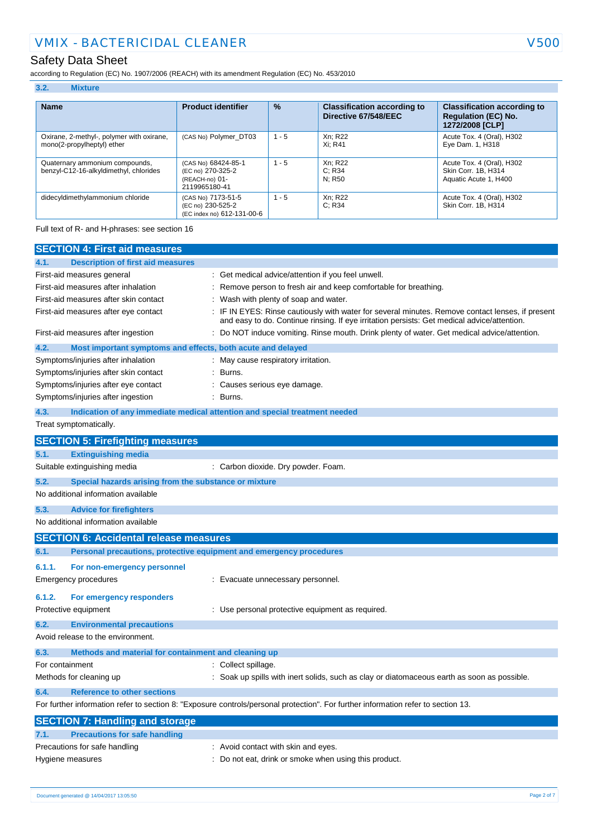## Safety Data Sheet

**3.2. Mixture**

according to Regulation (EC) No. 1907/2006 (REACH) with its amendment Regulation (EC) No. 453/2010

| 3.4.<br><b>IVILALUI C</b>                                                |                                                                             |               |                                                            |                                                                                     |
|--------------------------------------------------------------------------|-----------------------------------------------------------------------------|---------------|------------------------------------------------------------|-------------------------------------------------------------------------------------|
|                                                                          |                                                                             |               |                                                            |                                                                                     |
| <b>Name</b>                                                              | <b>Product identifier</b>                                                   | $\frac{9}{6}$ | <b>Classification according to</b><br>Directive 67/548/EEC | <b>Classification according to</b><br><b>Regulation (EC) No.</b><br>1272/2008 [CLP] |
| Oxirane, 2-methyl-, polymer with oxirane,<br>mono(2-propylheptyl) ether  | (CAS No) Polymer_DT03                                                       | $1 - 5$       | Xn; R22<br>Xi: R41                                         | Acute Tox. 4 (Oral), H302<br>Eye Dam. 1, H318                                       |
| Quaternary ammonium compounds,<br>benzyl-C12-16-alkyldimethyl, chlorides | (CAS No) 68424-85-1<br>(EC no) 270-325-2<br>(REACH-no) 01-<br>2119965180-41 | $1 - 5$       | Xn; R22<br>C: R34<br>N: R50                                | Acute Tox. 4 (Oral), H302<br>Skin Corr. 1B, H314<br>Aquatic Acute 1, H400           |
| didecyldimethylammonium chloride                                         | (CAS No) 7173-51-5<br>(EC no) 230-525-2<br>(EC index no) 612-131-00-6       | $1 - 5$       | Xn; R22<br>C: R34                                          | Acute Tox. 4 (Oral), H302<br>Skin Corr. 1B. H314                                    |

Full text of R- and H-phrases: see section 16

| <b>SECTION 4: First aid measures</b>                                        |                                                                                                                                                                                               |
|-----------------------------------------------------------------------------|-----------------------------------------------------------------------------------------------------------------------------------------------------------------------------------------------|
| 4.1.<br><b>Description of first aid measures</b>                            |                                                                                                                                                                                               |
| First-aid measures general                                                  | Get medical advice/attention if you feel unwell.                                                                                                                                              |
| First-aid measures after inhalation                                         | Remove person to fresh air and keep comfortable for breathing.                                                                                                                                |
| First-aid measures after skin contact                                       | Wash with plenty of soap and water.                                                                                                                                                           |
| First-aid measures after eye contact                                        | IF IN EYES: Rinse cautiously with water for several minutes. Remove contact lenses, if present<br>and easy to do. Continue rinsing. If eye irritation persists: Get medical advice/attention. |
| First-aid measures after ingestion                                          | Do NOT induce vomiting. Rinse mouth. Drink plenty of water. Get medical advice/attention.                                                                                                     |
| 4.2.<br>Most important symptoms and effects, both acute and delayed         |                                                                                                                                                                                               |
| Symptoms/injuries after inhalation                                          | May cause respiratory irritation.                                                                                                                                                             |
| Symptoms/injuries after skin contact                                        | Burns.                                                                                                                                                                                        |
| Symptoms/injuries after eye contact                                         | Causes serious eye damage.                                                                                                                                                                    |
| Symptoms/injuries after ingestion                                           | Burns.                                                                                                                                                                                        |
| 4.3.                                                                        | Indication of any immediate medical attention and special treatment needed                                                                                                                    |
| Treat symptomatically.                                                      |                                                                                                                                                                                               |
| <b>SECTION 5: Firefighting measures</b>                                     |                                                                                                                                                                                               |
| 5.1.<br><b>Extinguishing media</b>                                          |                                                                                                                                                                                               |
| Suitable extinguishing media                                                | : Carbon dioxide. Dry powder. Foam.                                                                                                                                                           |
| 5.2.<br>Special hazards arising from the substance or mixture               |                                                                                                                                                                                               |
| No additional information available                                         |                                                                                                                                                                                               |
| 5.3.<br><b>Advice for firefighters</b>                                      |                                                                                                                                                                                               |
| No additional information available                                         |                                                                                                                                                                                               |
| <b>SECTION 6: Accidental release measures</b>                               |                                                                                                                                                                                               |
| 6.1.<br>Personal precautions, protective equipment and emergency procedures |                                                                                                                                                                                               |
| 6.1.1.<br>For non-emergency personnel                                       |                                                                                                                                                                                               |
| Emergency procedures                                                        | : Evacuate unnecessary personnel.                                                                                                                                                             |
|                                                                             |                                                                                                                                                                                               |
| 6.1.2.<br>For emergency responders                                          |                                                                                                                                                                                               |
| Protective equipment                                                        | : Use personal protective equipment as required.                                                                                                                                              |
| 6.2.<br><b>Environmental precautions</b>                                    |                                                                                                                                                                                               |
| Avoid release to the environment.                                           |                                                                                                                                                                                               |
| 6.3.<br>Methods and material for containment and cleaning up                |                                                                                                                                                                                               |
| For containment                                                             | : Collect spillage.                                                                                                                                                                           |
| Methods for cleaning up                                                     | Soak up spills with inert solids, such as clay or diatomaceous earth as soon as possible.                                                                                                     |
| <b>Reference to other sections</b><br>6.4.                                  |                                                                                                                                                                                               |
|                                                                             | For further information refer to section 8: "Exposure controls/personal protection". For further information refer to section 13.                                                             |
| <b>SECTION 7: Handling and storage</b>                                      |                                                                                                                                                                                               |
| <b>Precautions for safe handling</b><br>7.1.                                |                                                                                                                                                                                               |
| Precautions for safe handling                                               | : Avoid contact with skin and eyes.                                                                                                                                                           |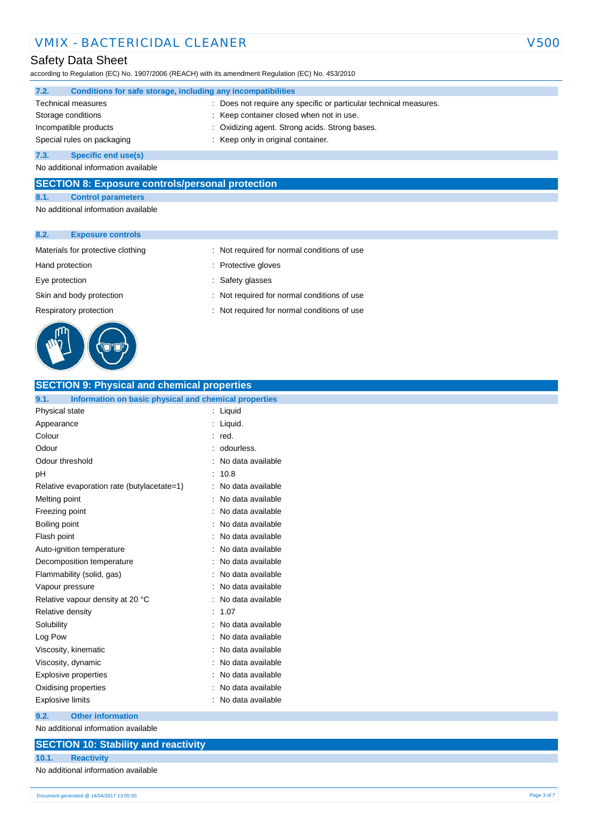## VMIX - BACTERICIDAL CLEANER V500

### Safety Data Sheet

according to Regulation (EC) No. 1907/2006 (REACH) with its amendment Regulation (EC) No. 453/2010

| 7.2.                       | Conditions for safe storage, including any incompatibilities |                                                                 |  |  |
|----------------------------|--------------------------------------------------------------|-----------------------------------------------------------------|--|--|
|                            | <b>Technical measures</b>                                    | Does not require any specific or particular technical measures. |  |  |
| Storage conditions         |                                                              | : Keep container closed when not in use.                        |  |  |
| Incompatible products      |                                                              | : Oxidizing agent. Strong acids. Strong bases.                  |  |  |
| Special rules on packaging |                                                              | : Keep only in original container.                              |  |  |
| 7.3.                       | <b>Specific end use(s)</b>                                   |                                                                 |  |  |

No additional information available

#### **SECTION 8: Exposure controls/personal protection**

**8.1. Control parameters**

No additional information available

#### **8.2. Exposure controls**



| Materials for protective clothing |  | : Not required for normal conditions of use |  |  |  |
|-----------------------------------|--|---------------------------------------------|--|--|--|
|-----------------------------------|--|---------------------------------------------|--|--|--|

- Hand protection **in the contract of the CO** is Protective gloves
- Eye protection  $\qquad \qquad$ : Safety glasses
- Skin and body protection : Not required for normal conditions of use
- Respiratory protection **interval in the COV** Not required for normal conditions of use

| <b>SECTION 9: Physical and chemical properties</b>            |                   |  |  |  |
|---------------------------------------------------------------|-------------------|--|--|--|
| 9.1.<br>Information on basic physical and chemical properties |                   |  |  |  |
| Physical state                                                | Liquid            |  |  |  |
| Appearance                                                    | Liquid.           |  |  |  |
| Colour                                                        | red.              |  |  |  |
| Odour                                                         | odourless.        |  |  |  |
| Odour threshold                                               | No data available |  |  |  |
| рH                                                            | 10.8              |  |  |  |
| Relative evaporation rate (butylacetate=1)                    | No data available |  |  |  |
| Melting point                                                 | No data available |  |  |  |
| Freezing point                                                | No data available |  |  |  |
| Boiling point                                                 | No data available |  |  |  |
| Flash point                                                   | No data available |  |  |  |
| Auto-ignition temperature                                     | No data available |  |  |  |
| Decomposition temperature                                     | No data available |  |  |  |
| Flammability (solid, gas)                                     | No data available |  |  |  |
| Vapour pressure                                               | No data available |  |  |  |
| Relative vapour density at 20 °C                              | No data available |  |  |  |
| Relative density                                              | 1.07              |  |  |  |
| Solubility                                                    | No data available |  |  |  |
| Log Pow                                                       | No data available |  |  |  |
| Viscosity, kinematic                                          | No data available |  |  |  |
| Viscosity, dynamic                                            | No data available |  |  |  |
| <b>Explosive properties</b>                                   | No data available |  |  |  |
| Oxidising properties                                          | No data available |  |  |  |
| No data available<br>Explosive limits                         |                   |  |  |  |
| <b>Other information</b><br>9.2.                              |                   |  |  |  |
| No additional information available                           |                   |  |  |  |

## **SECTION 10: Stability and reactivity**

**10.1. Reactivity**

No additional information available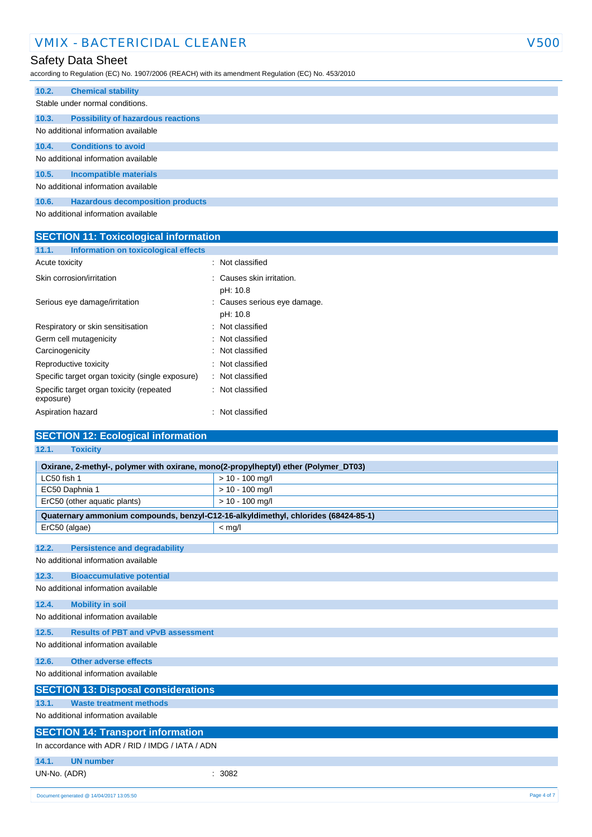## VMIX - BACTERICIDAL CLEANER V500

## Safety Data Sheet

according to Regulation (EC) No. 1907/2006 (REACH) with its amendment Regulation (EC) No. 453/2010

| 10.2. | <b>Chemical stability</b>                 |
|-------|-------------------------------------------|
|       | Stable under normal conditions.           |
| 10.3. | <b>Possibility of hazardous reactions</b> |
|       | No additional information available       |
| 10.4. | <b>Conditions to avoid</b>                |
|       | No additional information available       |
| 10.5. | Incompatible materials                    |
|       | No additional information available       |
| 10.6. | <b>Hazardous decomposition products</b>   |
|       |                                           |

No additional information available

| <b>SECTION 11: Toxicological information</b>          |                                          |  |  |
|-------------------------------------------------------|------------------------------------------|--|--|
| Information on toxicological effects<br>11.1.         |                                          |  |  |
| Acute toxicity                                        | : Not classified                         |  |  |
| Skin corrosion/irritation                             | : Causes skin irritation.<br>pH: 10.8    |  |  |
| Serious eye damage/irritation                         | : Causes serious eye damage.<br>pH: 10.8 |  |  |
| Respiratory or skin sensitisation                     | : Not classified                         |  |  |
| Germ cell mutagenicity                                | : Not classified                         |  |  |
| Carcinogenicity                                       | : Not classified                         |  |  |
| Reproductive toxicity                                 | : Not classified                         |  |  |
| Specific target organ toxicity (single exposure)      | : Not classified                         |  |  |
| Specific target organ toxicity (repeated<br>exposure) | : Not classified                         |  |  |
| Aspiration hazard                                     | Not classified<br>÷                      |  |  |

| <b>SECTION 12: Ecological information</b>                                           |                   |  |  |  |
|-------------------------------------------------------------------------------------|-------------------|--|--|--|
| 12.1.<br><b>Toxicity</b>                                                            |                   |  |  |  |
| Oxirane, 2-methyl-, polymer with oxirane, mono(2-propylheptyl) ether (Polymer_DT03) |                   |  |  |  |
| LC50 fish 1                                                                         | $> 10 - 100$ mg/l |  |  |  |
| EC50 Daphnia 1                                                                      | $> 10 - 100$ mg/l |  |  |  |
| ErC50 (other aquatic plants)                                                        | $> 10 - 100$ mg/l |  |  |  |
| Quaternary ammonium compounds, benzyl-C12-16-alkyldimethyl, chlorides (68424-85-1)  |                   |  |  |  |
| ErC50 (algae)                                                                       | $<$ mg/l          |  |  |  |
| <b>Persistence and degradability</b><br>12.2.                                       |                   |  |  |  |
| No additional information available                                                 |                   |  |  |  |
| <b>Bioaccumulative potential</b><br>12.3.                                           |                   |  |  |  |
| No additional information available                                                 |                   |  |  |  |
| 12.4.<br><b>Mobility in soil</b>                                                    |                   |  |  |  |
| No additional information available                                                 |                   |  |  |  |
| 12.5.<br><b>Results of PBT and vPvB assessment</b>                                  |                   |  |  |  |
| No additional information available                                                 |                   |  |  |  |
| <b>Other adverse effects</b><br>12.6.                                               |                   |  |  |  |
| No additional information available                                                 |                   |  |  |  |
| <b>SECTION 13: Disposal considerations</b>                                          |                   |  |  |  |
| <b>Waste treatment methods</b><br>13.1.                                             |                   |  |  |  |
| No additional information available                                                 |                   |  |  |  |
| <b>SECTION 14: Transport information</b>                                            |                   |  |  |  |
| In accordance with ADR / RID / IMDG / IATA / ADN                                    |                   |  |  |  |
| 14.1.<br><b>UN number</b>                                                           |                   |  |  |  |
| UN-No. (ADR)                                                                        | 3082              |  |  |  |
| Document generated @ 14/04/2017 13:05:50                                            | Page 4 of 7       |  |  |  |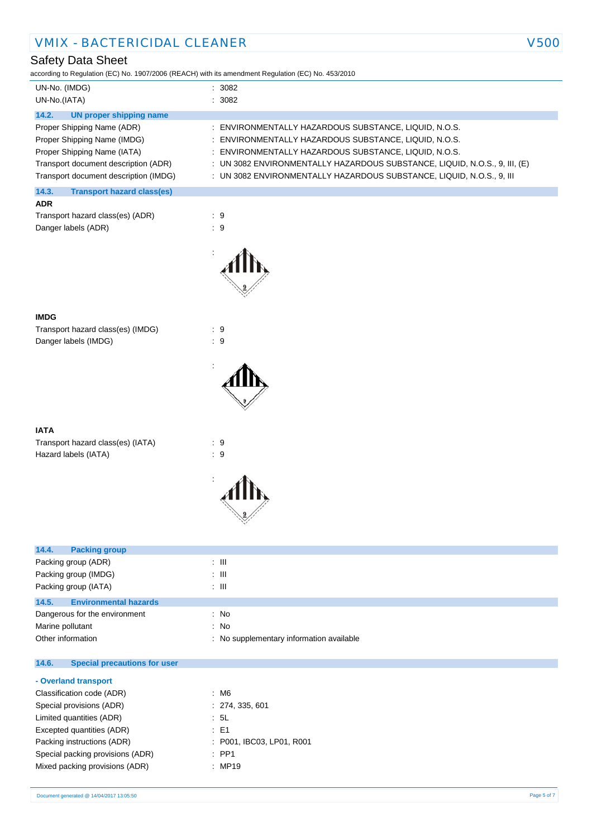## Safety Data Sheet

according to Regulation (EC) No. 1907/2006 (REACH) with its amendment Regulation (EC) No. 453/2010

| UN-No. (IMDG)                              | : 3082                                                                     |  |  |  |  |
|--------------------------------------------|----------------------------------------------------------------------------|--|--|--|--|
| UN-No.(IATA)                               | : 3082                                                                     |  |  |  |  |
| 14.2.<br>UN proper shipping name           |                                                                            |  |  |  |  |
| Proper Shipping Name (ADR)                 | : ENVIRONMENTALLY HAZARDOUS SUBSTANCE, LIQUID, N.O.S.                      |  |  |  |  |
| Proper Shipping Name (IMDG)                | : ENVIRONMENTALLY HAZARDOUS SUBSTANCE, LIQUID, N.O.S.                      |  |  |  |  |
| Proper Shipping Name (IATA)                | : ENVIRONMENTALLY HAZARDOUS SUBSTANCE, LIQUID, N.O.S.                      |  |  |  |  |
| Transport document description (ADR)       | : UN 3082 ENVIRONMENTALLY HAZARDOUS SUBSTANCE, LIQUID, N.O.S., 9, III, (E) |  |  |  |  |
| Transport document description (IMDG)      | : UN 3082 ENVIRONMENTALLY HAZARDOUS SUBSTANCE, LIQUID, N.O.S., 9, III      |  |  |  |  |
| 14.3.<br><b>Transport hazard class(es)</b> |                                                                            |  |  |  |  |
| <b>ADR</b>                                 |                                                                            |  |  |  |  |
| Transport hazard class(es) (ADR)           | : 9                                                                        |  |  |  |  |
| Danger labels (ADR)                        | : 9                                                                        |  |  |  |  |
|                                            |                                                                            |  |  |  |  |

#### **IMDG**

Transport hazard class(es) (IMDG) : 9 Danger labels (IMDG)  $\qquad \qquad$  : 9

#### **IATA**

Transport hazard class(es) (IATA) : 9 Hazard labels (IATA) : 9



:



| 14.4.<br><b>Packing group</b>                |                                          |
|----------------------------------------------|------------------------------------------|
| Packing group (ADR)                          | : III                                    |
| Packing group (IMDG)                         | : III                                    |
| Packing group (IATA)                         | : III                                    |
| <b>Environmental hazards</b><br>14.5.        |                                          |
| Dangerous for the environment                | : No                                     |
| Marine pollutant                             | : No                                     |
| Other information                            | : No supplementary information available |
| 14.6.<br><b>Special precautions for user</b> |                                          |

#### **- Overland transport**

| Classification code (ADR)        | $\therefore$ M6           |
|----------------------------------|---------------------------|
| Special provisions (ADR)         | : 274, 335, 601           |
| Limited quantities (ADR)         | : 5L                      |
| Excepted quantities (ADR)        | $\pm$ E1                  |
| Packing instructions (ADR)       | : P001, IBC03, LP01, R001 |
| Special packing provisions (ADR) | $\therefore$ PP1          |
| Mixed packing provisions (ADR)   | : MP19                    |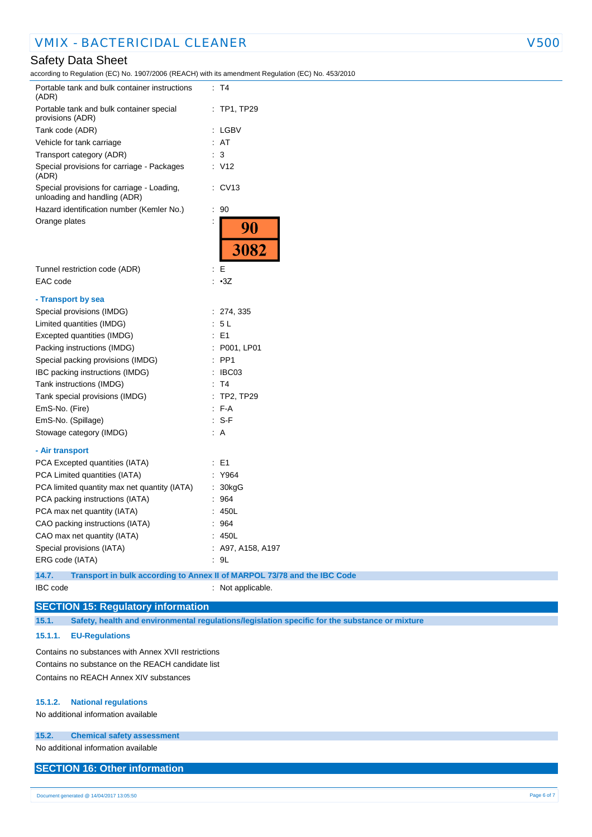## VMIX - BACTERICIDAL CLEANER V500

### Safety Data Sheet

according to Regulation (EC) No. 1907/2006 (REACH) with its amendment Regulation (EC) No. 453/2010

| Portable tank and bulk container instructions<br>(ADR)                     | : T4                                                                     |
|----------------------------------------------------------------------------|--------------------------------------------------------------------------|
| Portable tank and bulk container special<br>provisions (ADR)               | $:$ TP1, TP29                                                            |
| Tank code (ADR)                                                            | : LGBV                                                                   |
| Vehicle for tank carriage                                                  | : AT                                                                     |
| Transport category (ADR)                                                   | $\therefore$ 3                                                           |
| Special provisions for carriage - Packages<br>(ADR)                        | : V12                                                                    |
| Special provisions for carriage - Loading,<br>unloading and handling (ADR) | $\therefore$ CV13                                                        |
| Hazard identification number (Kemler No.)                                  | $\therefore$ 90                                                          |
| Orange plates                                                              | 90<br>3082                                                               |
| Tunnel restriction code (ADR)                                              | $\mathbf{E}$                                                             |
| EAC code                                                                   | : 3Z                                                                     |
| - Transport by sea                                                         |                                                                          |
| Special provisions (IMDG)                                                  | : 274, 335                                                               |
| Limited quantities (IMDG)                                                  | : 5L                                                                     |
| Excepted quantities (IMDG)                                                 | $\therefore$ E1                                                          |
| Packing instructions (IMDG)                                                | : P001, LP01                                                             |
| Special packing provisions (IMDG)                                          | $:$ PP1                                                                  |
| IBC packing instructions (IMDG)                                            | : IBC03                                                                  |
| Tank instructions (IMDG)                                                   | : T4                                                                     |
| Tank special provisions (IMDG)                                             | $:$ TP2, TP29                                                            |
| EmS-No. (Fire)                                                             | $F-A$                                                                    |
| EmS-No. (Spillage)                                                         | $: S-F$                                                                  |
| Stowage category (IMDG)                                                    | : A                                                                      |
| - Air transport                                                            |                                                                          |
| PCA Excepted quantities (IATA)                                             | $\pm$ E1                                                                 |
| PCA Limited quantities (IATA)                                              | : Y964                                                                   |
| PCA limited quantity max net quantity (IATA)                               | : 30kgG                                                                  |
| PCA packing instructions (IATA)                                            | : 964                                                                    |
| PCA max net quantity (IATA)                                                | : 450L                                                                   |
| CAO packing instructions (IATA)                                            | : 964                                                                    |
| CAO max net quantity (IATA)                                                | : 450L                                                                   |
| Special provisions (IATA)                                                  | : A97, A158, A197                                                        |
| ERG code (IATA)                                                            | .9L                                                                      |
| 14.7.                                                                      | Transport in bulk according to Annex II of MARPOL 73/78 and the IBC Code |

IBC code : Not applicable.

## **SECTION 15: Regulatory information**

**15.1. Safety, health and environmental regulations/legislation specific for the substance or mixture**

#### **15.1.1. EU-Regulations**

Contains no substances with Annex XVII restrictions Contains no substance on the REACH candidate list Contains no REACH Annex XIV substances

#### **15.1.2. National regulations**

No additional information available

#### **15.2. Chemical safety assessment**

No additional information available

## **SECTION 16: Other information**